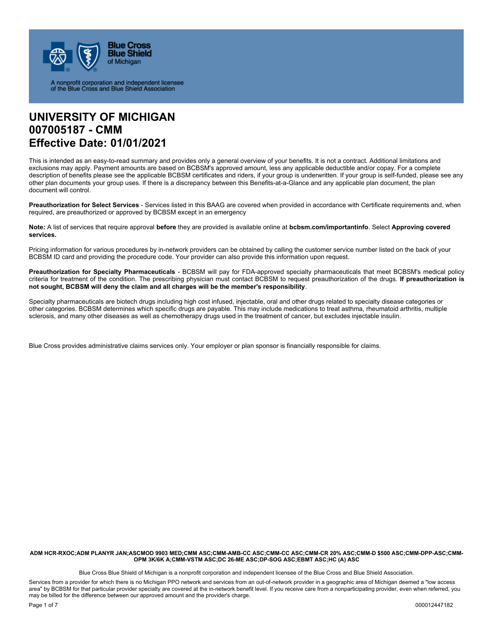

A nonprofit corporation and independent licensee<br>of the Blue Cross and Blue Shield Association

## **UNIVERSITY OF MICHIGAN 007005187 - CMM Effective Date: 01/01/2021**

This is intended as an easy-to-read summary and provides only a general overview of your benefits. It is not a contract. Additional limitations and exclusions may apply. Payment amounts are based on BCBSM's approved amount, less any applicable deductible and/or copay. For a complete description of benefits please see the applicable BCBSM certificates and riders, if your group is underwritten. If your group is self-funded, please see any other plan documents your group uses. If there is a discrepancy between this Benefits-at-a-Glance and any applicable plan document, the plan document will control.

**Preauthorization for Select Services** - Services listed in this BAAG are covered when provided in accordance with Certificate requirements and, when required, are preauthorized or approved by BCBSM except in an emergency

**Note:** A list of services that require approval **before** they are provided is available online at **bcbsm.com/importantinfo**. Select **Approving covered services.** 

Pricing information for various procedures by in-network providers can be obtained by calling the customer service number listed on the back of your BCBSM ID card and providing the procedure code. Your provider can also provide this information upon request.

**Preauthorization for Specialty Pharmaceuticals** - BCBSM will pay for FDA-approved specialty pharmaceuticals that meet BCBSM's medical policy criteria for treatment of the condition. The prescribing physician must contact BCBSM to request preauthorization of the drugs. **If preauthorization is not sought, BCBSM will deny the claim and all charges will be the member's responsibility**.

Specialty pharmaceuticals are biotech drugs including high cost infused, injectable, oral and other drugs related to specialty disease categories or other categories. BCBSM determines which specific drugs are payable. This may include medications to treat asthma, rheumatoid arthritis, multiple sclerosis, and many other diseases as well as chemotherapy drugs used in the treatment of cancer, but excludes injectable insulin.

Blue Cross provides administrative claims services only. Your employer or plan sponsor is financially responsible for claims.

**ADM HCR-RXOC;ADM PLANYR JAN;ASCMOD 9903 MED;CMM ASC;CMM-AMB-CC ASC;CMM-CC ASC;CMM-CR 20% ASC;CMM-D \$500 ASC;CMM-DPP-ASC;CMM-OPM 3K/6K A;CMM-VSTM ASC;DC 26-ME ASC;DP-SOG ASC;EBMT ASC;HC (A) ASC** 

Blue Cross Blue Shield of Michigan is a nonprofit corporation and independent licensee of the Blue Cross and Blue Shield Association.

Services from a provider for which there is no Michigan PPO network and services from an out-of-network provider in a geographic area of Michigan deemed a "low access area" by BCBSM for that particular provider specialty are covered at the in-network benefit level. If you receive care from a nonparticipating provider, even when referred, you may be billed for the difference between our approved amount and the provider's charge.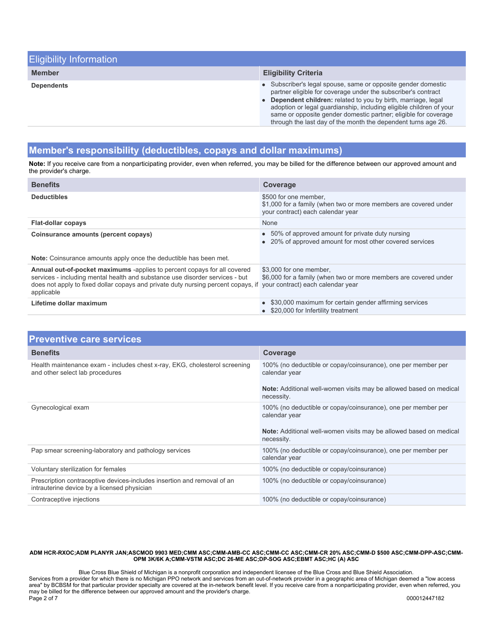| <b>Eligibility Information</b> |                                                                                                                                                                                                                                                                                                                                                                                                                        |
|--------------------------------|------------------------------------------------------------------------------------------------------------------------------------------------------------------------------------------------------------------------------------------------------------------------------------------------------------------------------------------------------------------------------------------------------------------------|
| <b>Member</b>                  | <b>Eligibility Criteria</b>                                                                                                                                                                                                                                                                                                                                                                                            |
| <b>Dependents</b>              | • Subscriber's legal spouse, same or opposite gender domestic<br>partner eligible for coverage under the subscriber's contract<br>Dependent children: related to you by birth, marriage, legal<br>$\bullet$<br>adoption or legal guardianship, including eligible children of your<br>same or opposite gender domestic partner; eligible for coverage<br>through the last day of the month the dependent turns age 26. |

## **Member's responsibility (deductibles, copays and dollar maximums)**

**Note:** If you receive care from a nonparticipating provider, even when referred, you may be billed for the difference between our approved amount and the provider's charge.

| <b>Benefits</b>                                                                                                                                                                                                                                                                                      | <b>Coverage</b>                                                                                                                |
|------------------------------------------------------------------------------------------------------------------------------------------------------------------------------------------------------------------------------------------------------------------------------------------------------|--------------------------------------------------------------------------------------------------------------------------------|
| <b>Deductibles</b>                                                                                                                                                                                                                                                                                   | \$500 for one member.<br>\$1,000 for a family (when two or more members are covered under<br>your contract) each calendar year |
| <b>Flat-dollar copays</b>                                                                                                                                                                                                                                                                            | <b>None</b>                                                                                                                    |
| Coinsurance amounts (percent copays)<br>Note: Coinsurance amounts apply once the deductible has been met.                                                                                                                                                                                            | • 50% of approved amount for private duty nursing<br>• 20% of approved amount for most other covered services                  |
|                                                                                                                                                                                                                                                                                                      |                                                                                                                                |
| <b>Annual out-of-pocket maximums</b> -applies to percent copays for all covered<br>services - including mental health and substance use disorder services - but<br>does not apply to fixed dollar copays and private duty nursing percent copays, if your contract) each calendar year<br>applicable | \$3,000 for one member.<br>\$6,000 for a family (when two or more members are covered under                                    |
| Lifetime dollar maximum                                                                                                                                                                                                                                                                              | • \$30,000 maximum for certain gender affirming services<br>• \$20,000 for Infertility treatment                               |

| <b>Preventive care services</b>                                                                                        |                                                                                  |
|------------------------------------------------------------------------------------------------------------------------|----------------------------------------------------------------------------------|
| <b>Benefits</b>                                                                                                        | Coverage                                                                         |
| Health maintenance exam - includes chest x-ray, EKG, cholesterol screening<br>and other select lab procedures          | 100% (no deductible or copay/coinsurance), one per member per<br>calendar year   |
|                                                                                                                        | Note: Additional well-women visits may be allowed based on medical<br>necessity. |
| Gynecological exam                                                                                                     | 100% (no deductible or copay/coinsurance), one per member per<br>calendar year   |
|                                                                                                                        | Note: Additional well-women visits may be allowed based on medical<br>necessity. |
| Pap smear screening-laboratory and pathology services                                                                  | 100% (no deductible or copay/coinsurance), one per member per<br>calendar year   |
| Voluntary sterilization for females                                                                                    | 100% (no deductible or copay/coinsurance)                                        |
| Prescription contraceptive devices-includes insertion and removal of an<br>intrauterine device by a licensed physician | 100% (no deductible or copay/coinsurance)                                        |
| Contraceptive injections                                                                                               | 100% (no deductible or copay/coinsurance)                                        |

#### **ADM HCR-RXOC;ADM PLANYR JAN;ASCMOD 9903 MED;CMM ASC;CMM-AMB-CC ASC;CMM-CC ASC;CMM-CR 20% ASC;CMM-D \$500 ASC;CMM-DPP-ASC;CMM-OPM 3K/6K A;CMM-VSTM ASC;DC 26-ME ASC;DP-SOG ASC;EBMT ASC;HC (A) ASC**

Blue Cross Blue Shield of Michigan is a nonprofit corporation and independent licensee of the Blue Cross and Blue Shield Association. Services from a provider for which there is no Michigan PPO network and services from an out-of-network provider in a geographic area of Michigan deemed a "low access area" by BCBSM for that particular provider specialty are covered at the in-network benefit level. If you receive care from a nonparticipating provider, even when referred, you may be billed for the difference between our approved amount and the provider's charge. Page 2 of 7 000012447182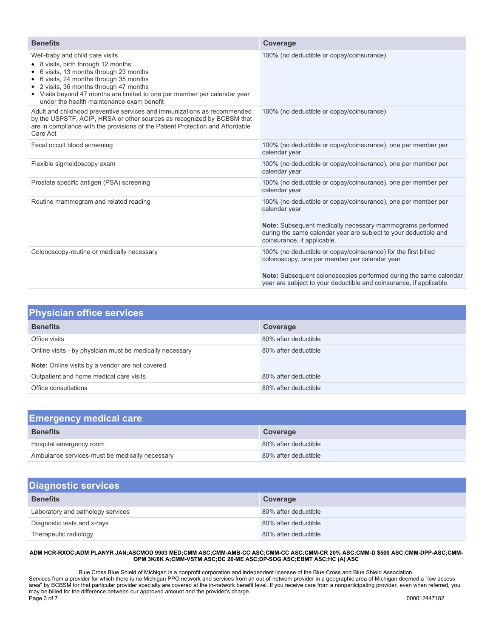| <b>Benefits</b>                                                                                                                                                                                                                                                                                                               | Coverage                                                                                                                                                                                                                                                    |
|-------------------------------------------------------------------------------------------------------------------------------------------------------------------------------------------------------------------------------------------------------------------------------------------------------------------------------|-------------------------------------------------------------------------------------------------------------------------------------------------------------------------------------------------------------------------------------------------------------|
| Well-baby and child care visits<br>• 8 visits, birth through 12 months<br>6 visits, 13 months through 23 months<br>6 visits, 24 months through 35 months<br>• 2 visits, 36 months through 47 months<br>• Visits beyond 47 months are limited to one per member per calendar year<br>under the health maintenance exam benefit | 100% (no deductible or copay/coinsurance)                                                                                                                                                                                                                   |
| Adult and childhood preventive services and immunizations as recommended<br>by the USPSTF, ACIP, HRSA or other sources as recognized by BCBSM that<br>are in compliance with the provisions of the Patient Protection and Affordable<br>Care Act                                                                              | 100% (no deductible or copay/coinsurance)                                                                                                                                                                                                                   |
| Fecal occult blood screening                                                                                                                                                                                                                                                                                                  | 100% (no deductible or copay/coinsurance), one per member per<br>calendar year                                                                                                                                                                              |
| Flexible sigmoidoscopy exam                                                                                                                                                                                                                                                                                                   | 100% (no deductible or copay/coinsurance), one per member per<br>calendar year                                                                                                                                                                              |
| Prostate specific antigen (PSA) screening                                                                                                                                                                                                                                                                                     | 100% (no deductible or copay/coinsurance), one per member per<br>calendar year                                                                                                                                                                              |
| Routine mammogram and related reading                                                                                                                                                                                                                                                                                         | 100% (no deductible or copay/coinsurance), one per member per<br>calendar year<br>Note: Subsequent medically necessary mammograms performed<br>during the same calendar year are subject to your deductible and<br>coinsurance, if applicable.              |
| Colonoscopy-routine or medically necessary                                                                                                                                                                                                                                                                                    | 100% (no deductible or copay/coinsurance) for the first billed<br>colonoscopy, one per member per calendar year<br>Note: Subsequent colonoscopies performed during the same calendar<br>year are subject to your deductible and coinsurance, if applicable. |

| <b>Physician office services</b>                         |                      |
|----------------------------------------------------------|----------------------|
| <b>Benefits</b>                                          | Coverage             |
| Office visits                                            | 80% after deductible |
| Online visits - by physician must be medically necessary | 80% after deductible |
| Note: Online visits by a vendor are not covered.         |                      |
| Outpatient and home medical care visits                  | 80% after deductible |
| Office consultations                                     | 80% after deductible |

| <b>Emergency medical care</b>                  |                      |
|------------------------------------------------|----------------------|
| <b>Benefits</b>                                | Coverage             |
| Hospital emergency room                        | 80% after deductible |
| Ambulance services-must be medically necessary | 80% after deductible |

| <b>Diagnostic services</b>        |                      |  |
|-----------------------------------|----------------------|--|
| <b>Benefits</b>                   | Coverage             |  |
| Laboratory and pathology services | 80% after deductible |  |
| Diagnostic tests and x-rays       | 80% after deductible |  |
| Therapeutic radiology             | 80% after deductible |  |

### **ADM HCR-RXOC;ADM PLANYR JAN;ASCMOD 9903 MED;CMM ASC;CMM-AMB-CC ASC;CMM-CC ASC;CMM-CR 20% ASC;CMM-D \$500 ASC;CMM-DPP-ASC;CMM-OPM 3K/6K A;CMM-VSTM ASC;DC 26-ME ASC;DP-SOG ASC;EBMT ASC;HC (A) ASC**

Blue Cross Blue Shield of Michigan is a nonprofit corporation and independent licensee of the Blue Cross and Blue Shield Association. Services from a provider for which there is no Michigan PPO network and services from an out-of-network provider in a geographic area of Michigan deemed a "low access area" by BCBSM for that particular provider specialty are covered at the in-network benefit level. If you receive care from a nonparticipating provider, even when referred, you may be billed for the difference between our approved amount and the provider's charge. Page 3 of 7 000012447182  $\,$  000012447182  $\,$  000012447182  $\,$  000012447182  $\,$  000012447182  $\,$  000012447182  $\,$  000012447182  $\,$  000012447182  $\,$  000012447182  $\,$  000012447182  $\,$  000012447182  $\,$  000012447182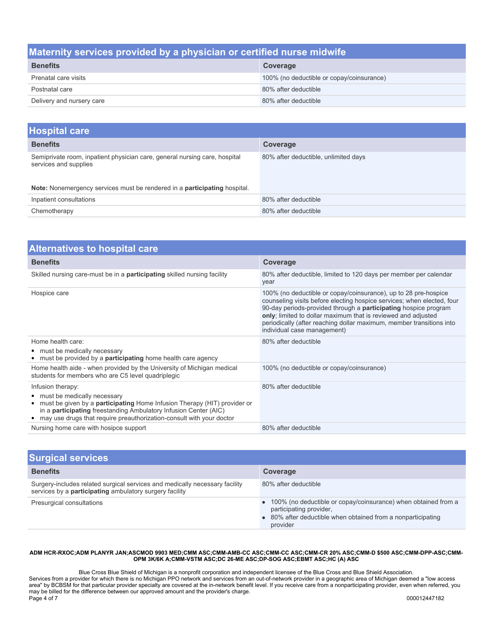### **Maternity services provided by a physician or certified nurse midwife**

| <b>Benefits</b>           | Coverage                                  |
|---------------------------|-------------------------------------------|
| Prenatal care visits      | 100% (no deductible or copay/coinsurance) |
| Postnatal care            | 80% after deductible                      |
| Delivery and nursery care | 80% after deductible                      |

| <b>Hospital care</b>                                                                                                                                                                    |                                      |
|-----------------------------------------------------------------------------------------------------------------------------------------------------------------------------------------|--------------------------------------|
| <b>Benefits</b>                                                                                                                                                                         | Coverage                             |
| Semiprivate room, inpatient physician care, general nursing care, hospital<br>services and supplies<br>Note: Nonemergency services must be rendered in a <b>participating</b> hospital. | 80% after deductible, unlimited days |
| Inpatient consultations                                                                                                                                                                 | 80% after deductible                 |
| Chemotherapy                                                                                                                                                                            | 80% after deductible                 |

| <b>Alternatives to hospital care</b>                                                                                                                                                                                                                                                               |                                                                                                                                                                                                                                                                                                                                                                                             |  |
|----------------------------------------------------------------------------------------------------------------------------------------------------------------------------------------------------------------------------------------------------------------------------------------------------|---------------------------------------------------------------------------------------------------------------------------------------------------------------------------------------------------------------------------------------------------------------------------------------------------------------------------------------------------------------------------------------------|--|
| <b>Benefits</b>                                                                                                                                                                                                                                                                                    | Coverage                                                                                                                                                                                                                                                                                                                                                                                    |  |
| Skilled nursing care-must be in a <b>participating</b> skilled nursing facility                                                                                                                                                                                                                    | 80% after deductible, limited to 120 days per member per calendar<br>year                                                                                                                                                                                                                                                                                                                   |  |
| Hospice care                                                                                                                                                                                                                                                                                       | 100% (no deductible or copay/coinsurance), up to 28 pre-hospice<br>counseling visits before electing hospice services; when elected, four<br>90-day periods-provided through a <b>participating</b> hospice program<br>only; limited to dollar maximum that is reviewed and adjusted<br>periodically (after reaching dollar maximum, member transitions into<br>individual case management) |  |
| Home health care:<br>• must be medically necessary<br>• must be provided by a <b>participating</b> home health care agency                                                                                                                                                                         | 80% after deductible                                                                                                                                                                                                                                                                                                                                                                        |  |
| Home health aide - when provided by the University of Michigan medical<br>students for members who are C5 level quadriplegic                                                                                                                                                                       | 100% (no deductible or copay/coinsurance)                                                                                                                                                                                                                                                                                                                                                   |  |
| Infusion therapy:<br>• must be medically necessary<br>must be given by a <b>participating</b> Home Infusion Therapy (HIT) provider or<br>٠<br>in a <b>participating</b> freestanding Ambulatory Infusion Center (AIC)<br>may use drugs that require preauthorization-consult with your doctor<br>٠ | 80% after deductible                                                                                                                                                                                                                                                                                                                                                                        |  |
| Nursing home care with hosipce support                                                                                                                                                                                                                                                             | 80% after deductible                                                                                                                                                                                                                                                                                                                                                                        |  |

| <b>Surgical services</b>                                                                                                               |                                                                                                                                                                         |
|----------------------------------------------------------------------------------------------------------------------------------------|-------------------------------------------------------------------------------------------------------------------------------------------------------------------------|
| <b>Benefits</b>                                                                                                                        | Coverage                                                                                                                                                                |
| Surgery-includes related surgical services and medically necessary facility<br>services by a participating ambulatory surgery facility | 80% after deductible                                                                                                                                                    |
| Presurgical consultations                                                                                                              | • 100% (no deductible or copay/coinsurance) when obtained from a<br>participating provider,<br>• 80% after deductible when obtained from a nonparticipating<br>provider |

#### **ADM HCR-RXOC;ADM PLANYR JAN;ASCMOD 9903 MED;CMM ASC;CMM-AMB-CC ASC;CMM-CC ASC;CMM-CR 20% ASC;CMM-D \$500 ASC;CMM-DPP-ASC;CMM-OPM 3K/6K A;CMM-VSTM ASC;DC 26-ME ASC;DP-SOG ASC;EBMT ASC;HC (A) ASC**

Blue Cross Blue Shield of Michigan is a nonprofit corporation and independent licensee of the Blue Cross and Blue Shield Association. Services from a provider for which there is no Michigan PPO network and services from an out-of-network provider in a geographic area of Michigan deemed a "low access area" by BCBSM for that particular provider specialty are covered at the in-network benefit level. If you receive care from a nonparticipating provider, even when referred, you may be billed for the difference between our approved amount and the provider's charge. Page 4 of 7 000012447182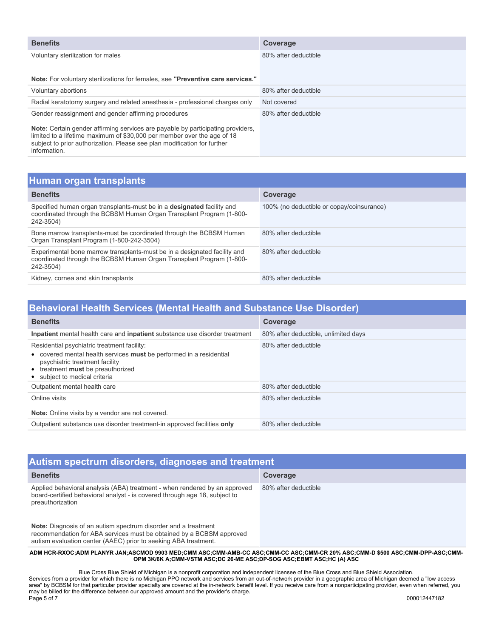| <b>Benefits</b>                                                                                                                                                                                                                                               | Coverage             |
|---------------------------------------------------------------------------------------------------------------------------------------------------------------------------------------------------------------------------------------------------------------|----------------------|
| Voluntary sterilization for males                                                                                                                                                                                                                             | 80% after deductible |
|                                                                                                                                                                                                                                                               |                      |
| Note: For voluntary sterilizations for females, see "Preventive care services."                                                                                                                                                                               |                      |
| Voluntary abortions                                                                                                                                                                                                                                           | 80% after deductible |
| Radial keratotomy surgery and related anesthesia - professional charges only                                                                                                                                                                                  | Not covered          |
| Gender reassignment and gender affirming procedures                                                                                                                                                                                                           | 80% after deductible |
| <b>Note:</b> Certain gender affirming services are payable by participating providers,<br>limited to a lifetime maximum of \$30,000 per member over the age of 18<br>subject to prior authorization. Please see plan modification for further<br>information. |                      |

# **Human organ transplants**

| <u>Haman organ tranopianto</u>                                                                                                                                     |                                           |  |  |
|--------------------------------------------------------------------------------------------------------------------------------------------------------------------|-------------------------------------------|--|--|
| <b>Benefits</b>                                                                                                                                                    | Coverage                                  |  |  |
| Specified human organ transplants-must be in a <b>designated</b> facility and<br>coordinated through the BCBSM Human Organ Transplant Program (1-800-<br>242-3504) | 100% (no deductible or copay/coinsurance) |  |  |
| Bone marrow transplants-must be coordinated through the BCBSM Human<br>Organ Transplant Program (1-800-242-3504)                                                   | 80% after deductible                      |  |  |
| Experimental bone marrow transplants-must be in a designated facility and<br>coordinated through the BCBSM Human Organ Transplant Program (1-800-<br>242-3504)     | 80% after deductible                      |  |  |
| Kidney, cornea and skin transplants                                                                                                                                | 80% after deductible                      |  |  |

## **Behavioral Health Services (Mental Health and Substance Use Disorder)**

| <b>Benefits</b>                                                                                                                                                                                                            | Coverage                             |
|----------------------------------------------------------------------------------------------------------------------------------------------------------------------------------------------------------------------------|--------------------------------------|
| Inpatient mental health care and inpatient substance use disorder treatment                                                                                                                                                | 80% after deductible, unlimited days |
| Residential psychiatric treatment facility:<br>• covered mental health services must be performed in a residential<br>psychiatric treatment facility<br>• treatment must be preauthorized<br>• subject to medical criteria | 80% after deductible                 |
| Outpatient mental health care                                                                                                                                                                                              | 80% after deductible                 |
| Online visits<br>Note: Online visits by a vendor are not covered.                                                                                                                                                          | 80% after deductible                 |
| Outpatient substance use disorder treatment-in approved facilities only                                                                                                                                                    | 80% after deductible                 |

| Autism spectrum disorders, diagnoses and treatment                                                                                                                                                        |                      |  |  |
|-----------------------------------------------------------------------------------------------------------------------------------------------------------------------------------------------------------|----------------------|--|--|
| <b>Benefits</b>                                                                                                                                                                                           | Coverage             |  |  |
| Applied behavioral analysis (ABA) treatment - when rendered by an approved<br>board-certified behavioral analyst - is covered through age 18, subject to<br>preauthorization                              | 80% after deductible |  |  |
| Note: Diagnosis of an autism spectrum disorder and a treatment<br>recommendation for ABA services must be obtained by a BCBSM approved<br>autism evaluation center (AAEC) prior to seeking ABA treatment. |                      |  |  |

**ADM HCR-RXOC;ADM PLANYR JAN;ASCMOD 9903 MED;CMM ASC;CMM-AMB-CC ASC;CMM-CC ASC;CMM-CR 20% ASC;CMM-D \$500 ASC;CMM-DPP-ASC;CMM-OPM 3K/6K A;CMM-VSTM ASC;DC 26-ME ASC;DP-SOG ASC;EBMT ASC;HC (A) ASC** 

Blue Cross Blue Shield of Michigan is a nonprofit corporation and independent licensee of the Blue Cross and Blue Shield Association. Services from a provider for which there is no Michigan PPO network and services from an out-of-network provider in a geographic area of Michigan deemed a "low access area" by BCBSM for that particular provider specialty are covered at the in-network benefit level. If you receive care from a nonparticipating provider, even when referred, you may be billed for the difference between our approved amount and the provider's charge. Page 5 of 7 000012447182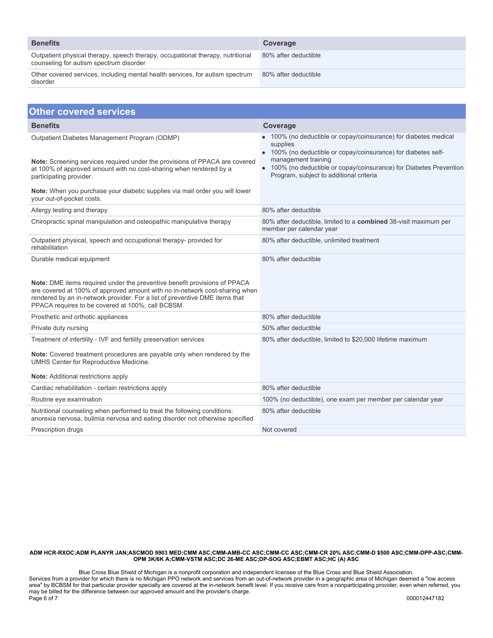| <b>Benefits</b>                                                                                                           | Coverage             |
|---------------------------------------------------------------------------------------------------------------------------|----------------------|
| Outpatient physical therapy, speech therapy, occupational therapy, nutritional<br>counseling for autism spectrum disorder | 80% after deductible |
| Other covered services, including mental health services, for autism spectrum<br>disorder                                 | 80% after deductible |

| <b>Other covered services</b>                                                                                                                                                                                                                                                                                             |                                                                                                                                                                                                                                                                                     |  |  |
|---------------------------------------------------------------------------------------------------------------------------------------------------------------------------------------------------------------------------------------------------------------------------------------------------------------------------|-------------------------------------------------------------------------------------------------------------------------------------------------------------------------------------------------------------------------------------------------------------------------------------|--|--|
| <b>Benefits</b>                                                                                                                                                                                                                                                                                                           | Coverage                                                                                                                                                                                                                                                                            |  |  |
| Outpatient Diabetes Management Program (ODMP)<br>Note: Screening services required under the provisions of PPACA are covered<br>at 100% of approved amount with no cost-sharing when rendered by a<br>participating provider.<br>Note: When you purchase your diabetic supplies via mail order you will lower             | 100% (no deductible or copay/coinsurance) for diabetes medical<br>supplies<br>• 100% (no deductible or copay/coinsurance) for diabetes self-<br>management training<br>100% (no deductible or copay/coinsurance) for Diabetes Prevention<br>Program, subject to additional criteria |  |  |
| your out-of-pocket costs.                                                                                                                                                                                                                                                                                                 |                                                                                                                                                                                                                                                                                     |  |  |
| Allergy testing and therapy                                                                                                                                                                                                                                                                                               | 80% after deductible                                                                                                                                                                                                                                                                |  |  |
| Chiropractic spinal manipulation and osteopathic manipulative therapy                                                                                                                                                                                                                                                     | 80% after deductible, limited to a <b>combined</b> 38-visit maximum per<br>member per calendar year                                                                                                                                                                                 |  |  |
| Outpatient physical, speech and occupational therapy- provided for<br>rehabilitation                                                                                                                                                                                                                                      | 80% after deductible, unlimited treatment                                                                                                                                                                                                                                           |  |  |
| Durable medical equipment<br>Note: DME items required under the preventive benefit provisions of PPACA<br>are covered at 100% of approved amount with no in-network cost-sharing when<br>rendered by an in-network provider. For a list of preventive DME items that<br>PPACA requires to be covered at 100%, call BCBSM. | 80% after deductible                                                                                                                                                                                                                                                                |  |  |
| Prosthetic and orthotic appliances                                                                                                                                                                                                                                                                                        | 80% after deductible                                                                                                                                                                                                                                                                |  |  |
| Private duty nursing                                                                                                                                                                                                                                                                                                      | 50% after deductible                                                                                                                                                                                                                                                                |  |  |
| Treatment of infertility - IVF and fertility preservation services<br>Note: Covered treatment procedures are payable only when rendered by the<br>UMHS Center for Reproductive Medicine.<br><b>Note:</b> Additional restrictions apply                                                                                    | 80% after deductible, limited to \$20,000 lifetime maximum                                                                                                                                                                                                                          |  |  |
| Cardiac rehabilitation - certain restrictions apply                                                                                                                                                                                                                                                                       | 80% after deductible                                                                                                                                                                                                                                                                |  |  |
| Routine eye examination                                                                                                                                                                                                                                                                                                   | 100% (no deductible), one exam per member per calendar year                                                                                                                                                                                                                         |  |  |
| Nutritional counseling when performed to treat the following conditions:<br>anorexia nervosa, bulimia nervosa and eating disorder not otherwise specified                                                                                                                                                                 | 80% after deductible                                                                                                                                                                                                                                                                |  |  |
| Prescription drugs                                                                                                                                                                                                                                                                                                        | Not covered                                                                                                                                                                                                                                                                         |  |  |
|                                                                                                                                                                                                                                                                                                                           |                                                                                                                                                                                                                                                                                     |  |  |

#### **ADM HCR-RXOC;ADM PLANYR JAN;ASCMOD 9903 MED;CMM ASC;CMM-AMB-CC ASC;CMM-CC ASC;CMM-CR 20% ASC;CMM-D \$500 ASC;CMM-DPP-ASC;CMM-OPM 3K/6K A;CMM-VSTM ASC;DC 26-ME ASC;DP-SOG ASC;EBMT ASC;HC (A) ASC**

Blue Cross Blue Shield of Michigan is a nonprofit corporation and independent licensee of the Blue Cross and Blue Shield Association. Services from a provider for which there is no Michigan PPO network and services from an out-of-network provider in a geographic area of Michigan deemed a "low access area" by BCBSM for that particular provider specialty are covered at the in-network benefit level. If you receive care from a nonparticipating provider, even when referred, you may be billed for the difference between our approved amount and the provider's charge. Page 6 of 7 000012447182